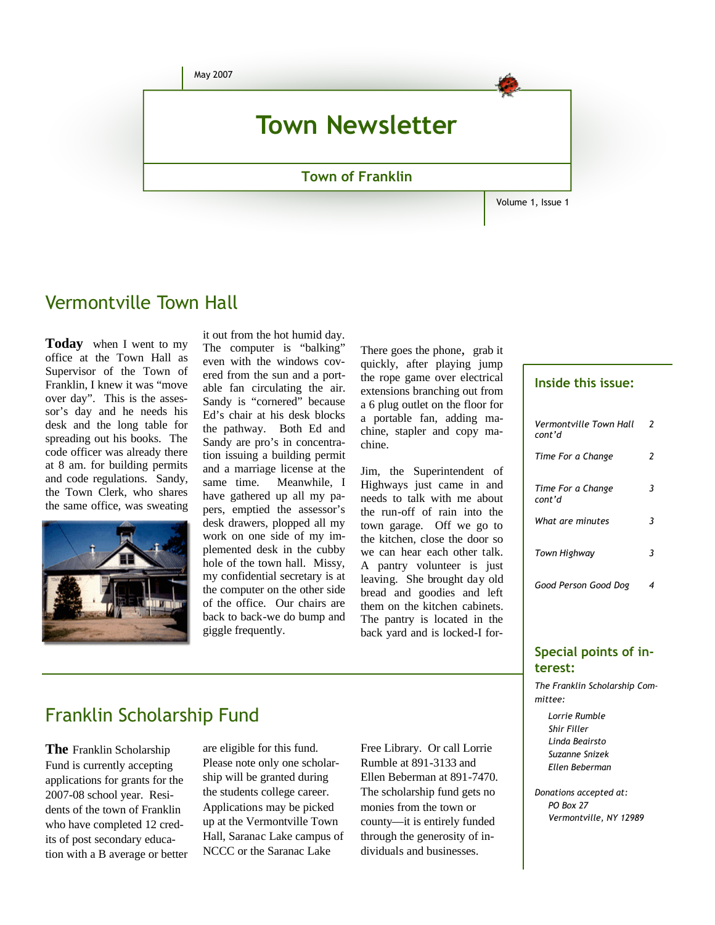

### Vermontville Town Hall

**Today** when I went to my office at the Town Hall as Supervisor of the Town of Franklin, I knew it was "move over day". This is the assessor's day and he needs his desk and the long table for spreading out his books. The code officer was already there at 8 am. for building permits and code regulations. Sandy, the Town Clerk, who shares the same office, was sweating



it out from the hot humid day. The computer is "balking" even with the windows covered from the sun and a portable fan circulating the air. Sandy is "cornered" because Ed's chair at his desk blocks the pathway. Both Ed and Sandy are pro's in concentration issuing a building permit and a marriage license at the same time. Meanwhile, I have gathered up all my papers, emptied the assessor's desk drawers, plopped all my work on one side of my implemented desk in the cubby hole of the town hall. Missy, my confidential secretary is at the computer on the other side of the office. Our chairs are back to back-we do bump and giggle frequently.

There goes the phone, grab it quickly, after playing jump the rope game over electrical extensions branching out from a 6 plug outlet on the floor for a portable fan, adding machine, stapler and copy machine.

Jim, the Superintendent of Highways just came in and needs to talk with me about the run-off of rain into the town garage. Off we go to the kitchen, close the door so we can hear each other talk. A pantry volunteer is just leaving. She brought day old bread and goodies and left them on the kitchen cabinets. The pantry is located in the back yard and is locked-I for-

#### **Inside this issue:**

| Vermontville Town Hall<br>cont'd | 2 |
|----------------------------------|---|
| Time For a Change                | 2 |
| Time For a Change<br>cont'd      | 3 |
| What are minutes                 | 3 |
| Town Highway                     | 3 |
| Good Person Good Dog             | 4 |

#### **Special points of interest:**

*The Franklin Scholarship Committee:*

 *Lorrie Rumble Shir Filler Linda Beairsto Suzanne Snizek Ellen Beberman*

*Donations accepted at: PO Box 27 Vermontville, NY 12989* 

### Franklin Scholarship Fund

**The** Franklin Scholarship Fund is currently accepting applications for grants for the 2007-08 school year. Residents of the town of Franklin who have completed 12 credits of post secondary education with a B average or better are eligible for this fund. Please note only one scholarship will be granted during the students college career. Applications may be picked up at the Vermontville Town Hall, Saranac Lake campus of NCCC or the Saranac Lake

Free Library. Or call Lorrie Rumble at 891-3133 and Ellen Beberman at 891-7470. The scholarship fund gets no monies from the town or county—it is entirely funded through the generosity of individuals and businesses.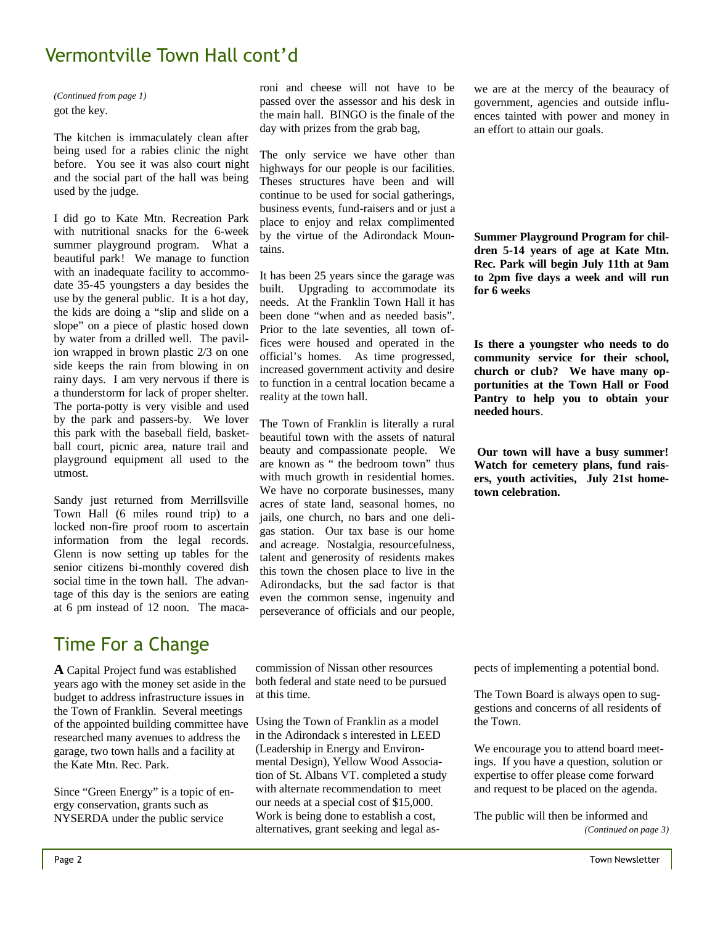### Vermontville Town Hall cont'd

got the key. *(Continued from page 1)*

The kitchen is immaculately clean after being used for a rabies clinic the night before. You see it was also court night and the social part of the hall was being used by the judge.

I did go to Kate Mtn. Recreation Park with nutritional snacks for the 6-week summer playground program. What a beautiful park! We manage to function with an inadequate facility to accommodate 35-45 youngsters a day besides the use by the general public. It is a hot day, the kids are doing a "slip and slide on a slope" on a piece of plastic hosed down by water from a drilled well. The pavilion wrapped in brown plastic 2/3 on one side keeps the rain from blowing in on rainy days. I am very nervous if there is a thunderstorm for lack of proper shelter. The porta-potty is very visible and used by the park and passers-by. We lover this park with the baseball field, basketball court, picnic area, nature trail and playground equipment all used to the utmost.

Sandy just returned from Merrillsville Town Hall (6 miles round trip) to a locked non-fire proof room to ascertain information from the legal records. Glenn is now setting up tables for the senior citizens bi-monthly covered dish social time in the town hall. The advantage of this day is the seniors are eating at 6 pm instead of 12 noon. The maca-

## Time For a Change

**A** Capital Project fund was established years ago with the money set aside in the budget to address infrastructure issues in the Town of Franklin. Several meetings of the appointed building committee have researched many avenues to address the garage, two town halls and a facility at the Kate Mtn. Rec. Park.

Since "Green Energy" is a topic of energy conservation, grants such as NYSERDA under the public service

roni and cheese will not have to be passed over the assessor and his desk in the main hall. BINGO is the finale of the day with prizes from the grab bag,

The only service we have other than highways for our people is our facilities. Theses structures have been and will continue to be used for social gatherings, business events, fund-raisers and or just a place to enjoy and relax complimented by the virtue of the Adirondack Mountains.

It has been 25 years since the garage was<br>huilt. Ungrading to accommodate its Upgrading to accommodate its needs. At the Franklin Town Hall it has been done "when and as needed basis". Prior to the late seventies, all town offices were housed and operated in the official's homes. As time progressed, increased government activity and desire to function in a central location became a reality at the town hall.

The Town of Franklin is literally a rural beautiful town with the assets of natural beauty and compassionate people. We are known as " the bedroom town" thus with much growth in residential homes. We have no corporate businesses, many acres of state land, seasonal homes, no jails, one church, no bars and one deligas station. Our tax base is our home and acreage. Nostalgia, resourcefulness, talent and generosity of residents makes this town the chosen place to live in the Adirondacks, but the sad factor is that even the common sense, ingenuity and perseverance of officials and our people,

we are at the mercy of the beauracy of government, agencies and outside influences tainted with power and money in an effort to attain our goals.

**Summer Playground Program for children 5-14 years of age at Kate Mtn. Rec. Park will begin July 11th at 9am to 2pm five days a week and will run for 6 weeks**

**Is there a youngster who needs to do community service for their school, church or club? We have many opportunities at the Town Hall or Food Pantry to help you to obtain your needed hours**.

**Our town will have a busy summer! Watch for cemetery plans, fund raisers, youth activities, July 21st hometown celebration.** 

commission of Nissan other resources both federal and state need to be pursued at this time.

Using the Town of Franklin as a model in the Adirondack s interested in LEED (Leadership in Energy and Environmental Design), Yellow Wood Association of St. Albans VT. completed a study with alternate recommendation to meet our needs at a special cost of \$15,000. Work is being done to establish a cost, alternatives, grant seeking and legal aspects of implementing a potential bond.

The Town Board is always open to suggestions and concerns of all residents of the Town.

We encourage you to attend board meetings. If you have a question, solution or expertise to offer please come forward and request to be placed on the agenda.

The public will then be informed and *(Continued on page 3)*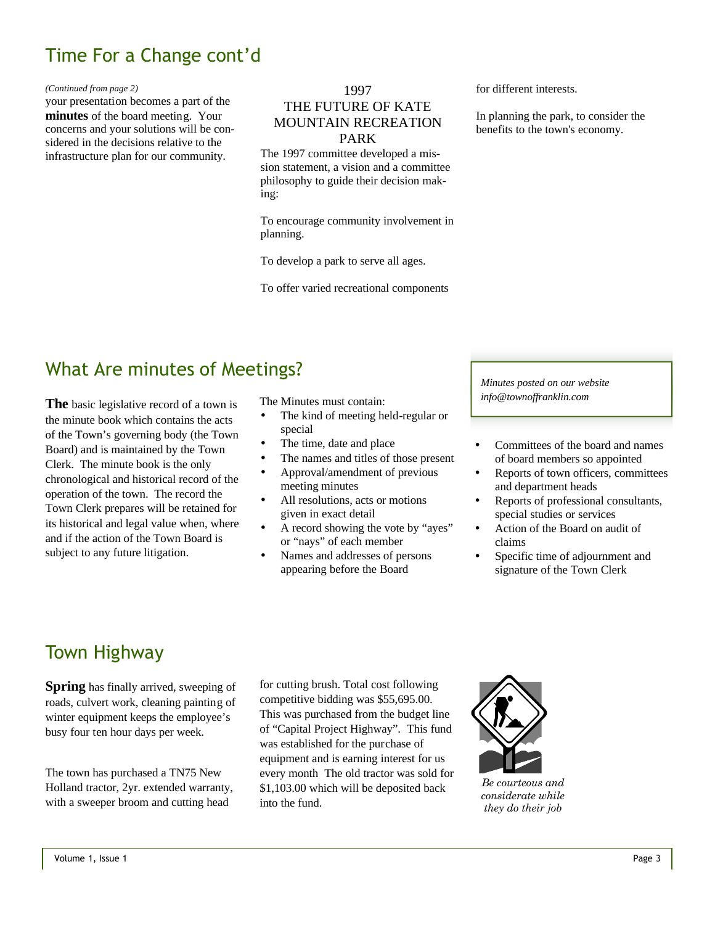# Time For a Change cont'd

#### *(Continued from page 2)*

your presentation becomes a part of the **minutes** of the board meeting. Your concerns and your solutions will be considered in the decisions relative to the infrastructure plan for our community.

#### 1997

### THE FUTURE OF KATE MOUNTAIN RECREATION PARK

The 1997 committee developed a mission statement, a vision and a committee philosophy to guide their decision making:

To encourage community involvement in planning.

To develop a park to serve all ages.

To offer varied recreational components

for different interests.

In planning the park, to consider the benefits to the town's economy.

# What Are minutes of Meetings?

**The** basic legislative record of a town is the minute book which contains the acts of the Town's governing body (the Town Board) and is maintained by the Town Clerk. The minute book is the only chronological and historical record of the operation of the town. The record the Town Clerk prepares will be retained for its historical and legal value when, where and if the action of the Town Board is subject to any future litigation.

The Minutes must contain:

- The kind of meeting held-regular or special
- The time, date and place
- The names and titles of those present
- Approval/amendment of previous meeting minutes
- All resolutions, acts or motions given in exact detail
- A record showing the vote by "ayes" or "nays" of each member
- Names and addresses of persons appearing before the Board

*Minutes posted on our website info@townoffranklin.com*

- Committees of the board and names of board members so appointed
- Reports of town officers, committees and department heads
- Reports of professional consultants, special studies or services
- Action of the Board on audit of claims
- Specific time of adjournment and signature of the Town Clerk

## Town Highway

**Spring** has finally arrived, sweeping of roads, culvert work, cleaning painting of winter equipment keeps the employee's busy four ten hour days per week.

The town has purchased a TN75 New Holland tractor, 2yr. extended warranty, with a sweeper broom and cutting head

for cutting brush. Total cost following competitive bidding was \$55,695.00. This was purchased from the budget line of "Capital Project Highway". This fund was established for the purchase of equipment and is earning interest for us every month The old tractor was sold for \$1,103.00 which will be deposited back into the fund.



*Be courteous and considerate while they do their job*